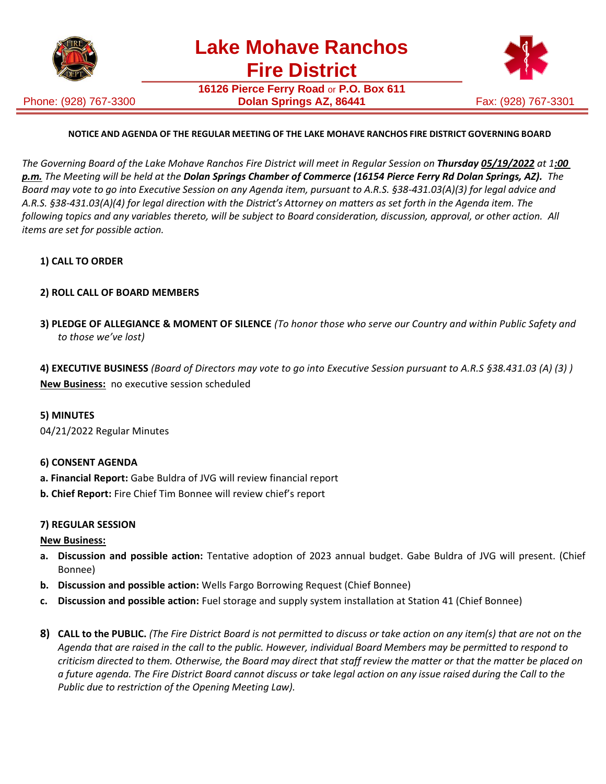

Phone: (928) 767-3300

**16126 Pierce Ferry Road** or **P.O. Box 611 Dolan Springs AZ, 86441 Fax: (928) 767-3301** 



# **NOTICE AND AGENDA OF THE REGULAR MEETING OF THE LAKE MOHAVE RANCHOS FIRE DISTRICT GOVERNING BOARD**

The Governing Board of the Lake Mohave Ranchos Fire District will meet in Regular Session on Thursday 05/19/2022 at 1:00 *p.m. The Meeting will be held at the Dolan Springs Chamber of Commerce (16154 Pierce Ferry Rd Dolan Springs, AZ). The Board may vote to go into Executive Session on any Agenda item, pursuant to A.R.S. §38-431.03(A)(3) for legal advice and A.R.S. §38-431.03(A)(4) for legal direction with the District's Attorney on matters as set forth in the Agenda item. The following topics and any variables thereto, will be subject to Board consideration, discussion, approval, or other action. All items are set for possible action.*

# **1) CALL TO ORDER**

# **2) ROLL CALL OF BOARD MEMBERS**

**3) PLEDGE OF ALLEGIANCE & MOMENT OF SILENCE** *(To honor those who serve our Country and within Public Safety and to those we've lost)*

**4) EXECUTIVE BUSINESS** *(Board of Directors may vote to go into Executive Session pursuant to A.R.S §38.431.03 (A) (3) )* **New Business:** no executive session scheduled

### **5) MINUTES**

04/21/2022 Regular Minutes

### **6) CONSENT AGENDA**

- **a. Financial Report:** Gabe Buldra of JVG will review financial report
- **b. Chief Report:** Fire Chief Tim Bonnee will review chief's report

### **7) REGULAR SESSION**

### **New Business:**

- **a. Discussion and possible action:** Tentative adoption of 2023 annual budget. Gabe Buldra of JVG will present. (Chief Bonnee)
- **b. Discussion and possible action:** Wells Fargo Borrowing Request (Chief Bonnee)
- **c. Discussion and possible action:** Fuel storage and supply system installation at Station 41 (Chief Bonnee)
- 8) CALL to the PUBLIC. (The Fire District Board is not permitted to discuss or take action on any item(s) that are not on the *Agenda that are raised in the call to the public. However, individual Board Members may be permitted to respond to criticism directed to them. Otherwise, the Board may direct that staff review the matter or that the matter be placed on a future agenda. The Fire District Board cannot discuss or take legal action on any issue raised during the Call to the Public due to restriction of the Opening Meeting Law).*